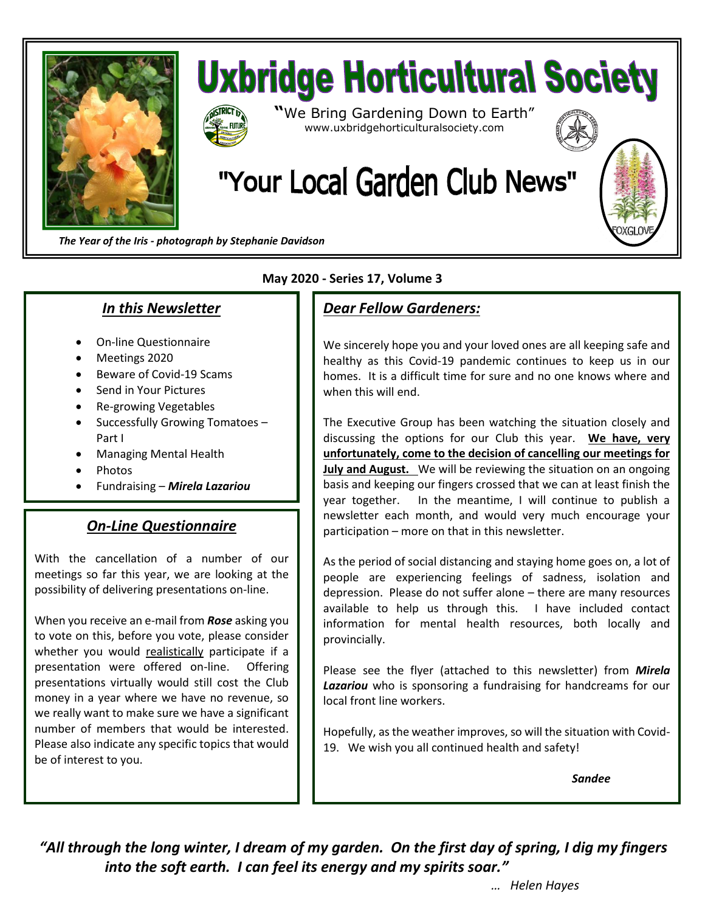

# **Uxbridge Horticultural Society**



**"**We Bring Gardening Down to Earth" www.uxbridgehorticulturalsociety.com

## "Your Local Garden Club News"

*The Year of the Iris - photograph by Stephanie Davidson*

#### *In this Newsletter*

- On-line Questionnaire
- Meetings 2020
- Beware of Covid-19 Scams
- Send in Your Pictures
- Re-growing Vegetables
- Successfully Growing Tomatoes Part I
- Managing Mental Health
- Photos
- Fundraising *Mirela Lazariou*

#### *On-Line Questionnaire*

With the cancellation of a number of our meetings so far this year, we are looking at the possibility of delivering presentations on-line.

When you receive an e-mail from *Rose* asking you to vote on this, before you vote, please consider whether you would realistically participate if a presentation were offered on-line. Offering presentations virtually would still cost the Club money in a year where we have no revenue, so we really want to make sure we have a significant number of members that would be interested. Please also indicate any specific topics that would be of interest to you.

#### **May 2020 - Series 17, Volume 3**

### *Dear Fellow Gardeners:*

We sincerely hope you and your loved ones are all keeping safe and healthy as this Covid-19 pandemic continues to keep us in our homes. It is a difficult time for sure and no one knows where and when this will end.

The Executive Group has been watching the situation closely and discussing the options for our Club this year. **We have, very unfortunately, come to the decision of cancelling our meetings for July and August.** We will be reviewing the situation on an ongoing basis and keeping our fingers crossed that we can at least finish the year together. In the meantime, I will continue to publish a newsletter each month, and would very much encourage your participation – more on that in this newsletter.

As the period of social distancing and staying home goes on, a lot of people are experiencing feelings of sadness, isolation and depression. Please do not suffer alone – there are many resources available to help us through this. I have included contact information for mental health resources, both locally and provincially.

Please see the flyer (attached to this newsletter) from *Mirela Lazariou* who is sponsoring a fundraising for handcreams for our local front line workers.

Hopefully, as the weather improves, so will the situation with Covid-19. We wish you all continued health and safety!

*Sandee*

*"All through the long winter, I dream of my garden. On the first day of spring, I dig my fingers into the soft earth. I can feel its energy and my spirits soar."*

*… Helen Hayes*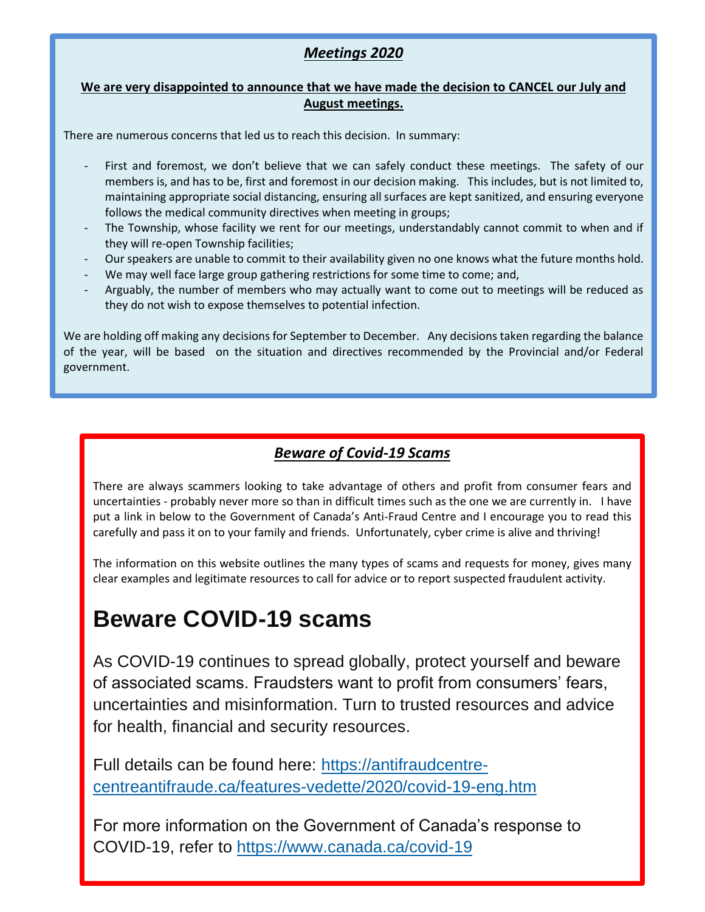#### *Meetings 2020*

#### **We are very disappointed to announce that we have made the decision to CANCEL our July and August meetings.**

There are numerous concerns that led us to reach this decision. In summary:

- First and foremost, we don't believe that we can safely conduct these meetings. The safety of our members is, and has to be, first and foremost in our decision making. This includes, but is not limited to, maintaining appropriate social distancing, ensuring all surfaces are kept sanitized, and ensuring everyone follows the medical community directives when meeting in groups;
- The Township, whose facility we rent for our meetings, understandably cannot commit to when and if they will re-open Township facilities;
- Our speakers are unable to commit to their availability given no one knows what the future months hold.
- We may well face large group gathering restrictions for some time to come; and,
- Arguably, the number of members who may actually want to come out to meetings will be reduced as they do not wish to expose themselves to potential infection.

We are holding off making any decisions for September to December. Any decisions taken regarding the balance of the year, will be based on the situation and directives recommended by the Provincial and/or Federal government.

#### *Beware of Covid-19 Scams*

There are always scammers looking to take advantage of others and profit from consumer fears and uncertainties - probably never more so than in difficult times such as the one we are currently in. I have put a link in below to the Government of Canada's Anti-Fraud Centre and I encourage you to read this carefully and pass it on to your family and friends. Unfortunately, cyber crime is alive and thriving!

The information on this website outlines the many types of scams and requests for money, gives many clear examples and legitimate resources to call for advice or to report suspected fraudulent activity.

## **Beware COVID-19 scams**

As COVID-19 continues to spread globally, protect yourself and beware of associated scams. Fraudsters want to profit from consumers' fears, uncertainties and misinformation. Turn to trusted resources and advice for health, financial and security resources.

Full details can be found here: [https://antifraudcentre](https://antifraudcentre-centreantifraude.ca/features-vedette/2020/covid-19-eng.htm?utm_source=getupdatesoncovid19-scams&utm_medium=eml&utm_content=info-page&utm_campaign=covid-1920)[centreantifraude.ca/features-vedette/2020/covid-19-eng.htm](https://antifraudcentre-centreantifraude.ca/features-vedette/2020/covid-19-eng.htm?utm_source=getupdatesoncovid19-scams&utm_medium=eml&utm_content=info-page&utm_campaign=covid-1920)

For more information on the Government of Canada's response to COVID-19, refer to [https://www.canada.ca/covid-19](https://www.canada.ca/en/public-health/services/diseases/coronavirus-disease-covid-19.html?utm_campaign=not-applicable&utm_medium=vanity-url&utm_source=canada-ca_covid-19&utm_source=getupdatesoncovid19-scams&utm_medium=eml&utm_content=landing-page&utm_campaign=covid-1920)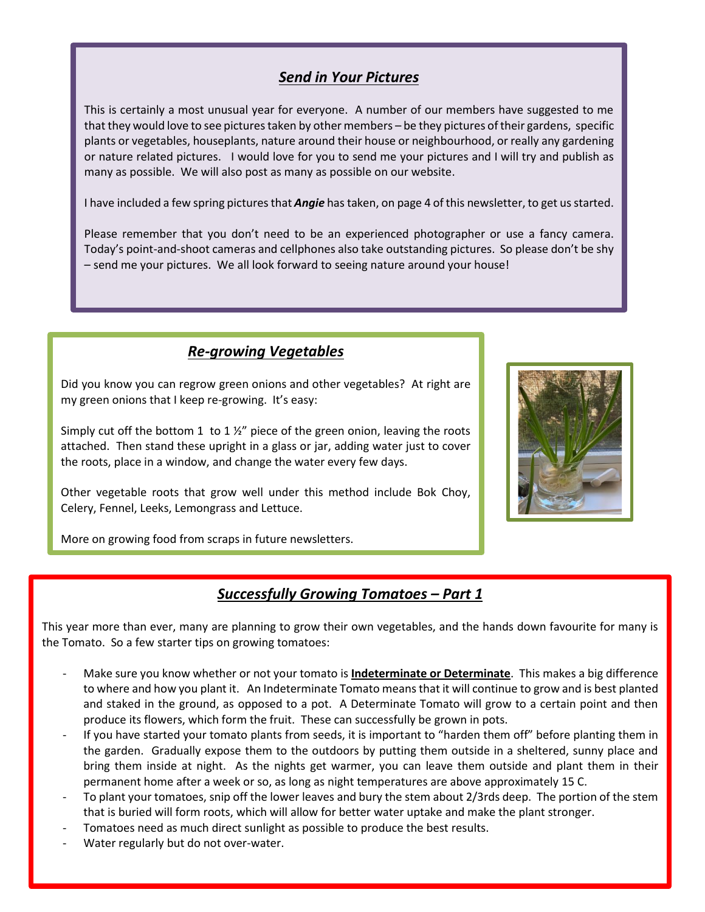#### *Send in Your Pictures*

This is certainly a most unusual year for everyone. A number of our members have suggested to me that they would love to see pictures taken by other members – be they pictures of their gardens, specific plants or vegetables, houseplants, nature around their house or neighbourhood, or really any gardening or nature related pictures. I would love for you to send me your pictures and I will try and publish as many as possible. We will also post as many as possible on our website.

I have included a few spring pictures that *Angie* has taken, on page 4 of this newsletter, to get us started.

Please remember that you don't need to be an experienced photographer or use a fancy camera. Today's point-and-shoot cameras and cellphones also take outstanding pictures. So please don't be shy – send me your pictures. We all look forward to seeing nature around your house!

#### *Re-growing Vegetables*

Did you know you can regrow green onions and other vegetables? At right are my green onions that I keep re-growing. It's easy:

Simply cut off the bottom 1 to 1  $\frac{1}{2}$ " piece of the green onion, leaving the roots attached. Then stand these upright in a glass or jar, adding water just to cover the roots, place in a window, and change the water every few days.

Other vegetable roots that grow well under this method include Bok Choy, Celery, Fennel, Leeks, Lemongrass and Lettuce.



More on growing food from scraps in future newsletters.

#### *Successfully Growing Tomatoes – Part 1*

This year more than ever, many are planning to grow their own vegetables, and the hands down favourite for many is the Tomato. So a few starter tips on growing tomatoes:

- Make sure you know whether or not your tomato is **Indeterminate or Determinate**. This makes a big difference to where and how you plant it. An Indeterminate Tomato means that it will continue to grow and is best planted and staked in the ground, as opposed to a pot. A Determinate Tomato will grow to a certain point and then produce its flowers, which form the fruit. These can successfully be grown in pots.
- If you have started your tomato plants from seeds, it is important to "harden them off" before planting them in the garden. Gradually expose them to the outdoors by putting them outside in a sheltered, sunny place and bring them inside at night. As the nights get warmer, you can leave them outside and plant them in their permanent home after a week or so, as long as night temperatures are above approximately 15 C.
- To plant your tomatoes, snip off the lower leaves and bury the stem about 2/3rds deep. The portion of the stem that is buried will form roots, which will allow for better water uptake and make the plant stronger.
- Tomatoes need as much direct sunlight as possible to produce the best results.
- Water regularly but do not over-water.